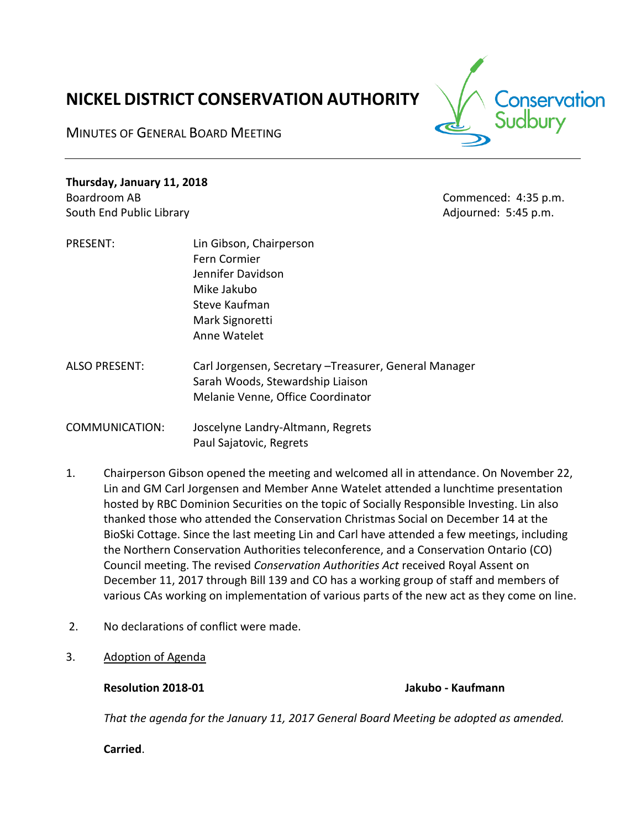# **NICKEL DISTRICT CONSERVATION AUTHORITY**

MINUTES OF GENERAL BOARD MEETING



**Thursday, January 11, 2018** Boardroom AB Commenced: 4:35 p.m. South End Public Library **Adjourned: 5:45 p.m.** Adjourned: 5:45 p.m.

- PRESENT: Lin Gibson, Chairperson Fern Cormier Jennifer Davidson Mike Jakubo Steve Kaufman Mark Signoretti Anne Watelet
- ALSO PRESENT: Carl Jorgensen, Secretary –Treasurer, General Manager Sarah Woods, Stewardship Liaison Melanie Venne, Office Coordinator

COMMUNICATION: Joscelyne Landry-Altmann, Regrets Paul Sajatovic, Regrets

- 1. Chairperson Gibson opened the meeting and welcomed all in attendance. On November 22, Lin and GM Carl Jorgensen and Member Anne Watelet attended a lunchtime presentation hosted by RBC Dominion Securities on the topic of Socially Responsible Investing. Lin also thanked those who attended the Conservation Christmas Social on December 14 at the BioSki Cottage. Since the last meeting Lin and Carl have attended a few meetings, including the Northern Conservation Authorities teleconference, and a Conservation Ontario (CO) Council meeting. The revised *Conservation Authorities Act* received Royal Assent on December 11, 2017 through Bill 139 and CO has a working group of staff and members of various CAs working on implementation of various parts of the new act as they come on line.
- 2. No declarations of conflict were made.
- 3. Adoption of Agenda

**Resolution 2018-01 Jakubo - Kaufmann**

*That the agenda for the January 11, 2017 General Board Meeting be adopted as amended.*

**Carried**.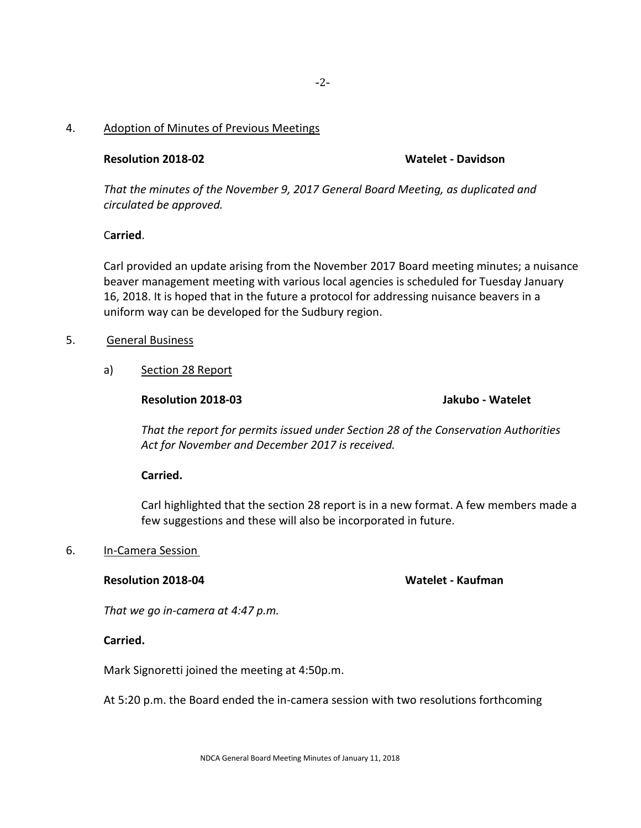# 4. Adoption of Minutes of Previous Meetings

# **Resolution 2018-02 Watelet - Davidson**

*That the minutes of the November 9, 2017 General Board Meeting, as duplicated and circulated be approved.*

### C**arried**.

Carl provided an update arising from the November 2017 Board meeting minutes; a nuisance beaver management meeting with various local agencies is scheduled for Tuesday January 16, 2018. It is hoped that in the future a protocol for addressing nuisance beavers in a uniform way can be developed for the Sudbury region.

### 5. General Business

a) Section 28 Report

**Resolution 2018-03 Jakubo - Watelet**

*That the report for permits issued under Section 28 of the Conservation Authorities Act for November and December 2017 is received.*

# **Carried.**

Carl highlighted that the section 28 report is in a new format. A few members made a few suggestions and these will also be incorporated in future.

#### 6. In-Camera Session

#### **Resolution 2018-04 Watelet - Kaufman**

*That we go in-camera at 4:47 p.m.*

# **Carried.**

Mark Signoretti joined the meeting at 4:50p.m.

At 5:20 p.m. the Board ended the in-camera session with two resolutions forthcoming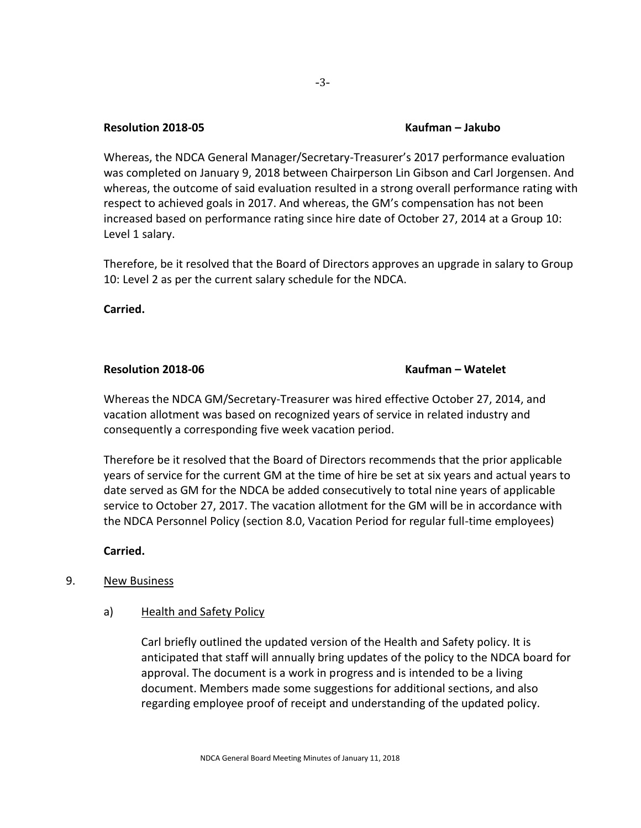#### **Resolution 2018-05 Kaufman – Jakubo**

Whereas, the NDCA General Manager/Secretary-Treasurer's 2017 performance evaluation was completed on January 9, 2018 between Chairperson Lin Gibson and Carl Jorgensen. And whereas, the outcome of said evaluation resulted in a strong overall performance rating with respect to achieved goals in 2017. And whereas, the GM's compensation has not been increased based on performance rating since hire date of October 27, 2014 at a Group 10: Level 1 salary.

Therefore, be it resolved that the Board of Directors approves an upgrade in salary to Group 10: Level 2 as per the current salary schedule for the NDCA.

**Carried.** 

#### **Resolution 2018-06 Kaufman – Watelet**

Whereas the NDCA GM/Secretary-Treasurer was hired effective October 27, 2014, and vacation allotment was based on recognized years of service in related industry and consequently a corresponding five week vacation period.

Therefore be it resolved that the Board of Directors recommends that the prior applicable years of service for the current GM at the time of hire be set at six years and actual years to date served as GM for the NDCA be added consecutively to total nine years of applicable service to October 27, 2017. The vacation allotment for the GM will be in accordance with the NDCA Personnel Policy (section 8.0, Vacation Period for regular full-time employees)

# **Carried.**

# 9. New Business

# a) Health and Safety Policy

Carl briefly outlined the updated version of the Health and Safety policy. It is anticipated that staff will annually bring updates of the policy to the NDCA board for approval. The document is a work in progress and is intended to be a living document. Members made some suggestions for additional sections, and also regarding employee proof of receipt and understanding of the updated policy.